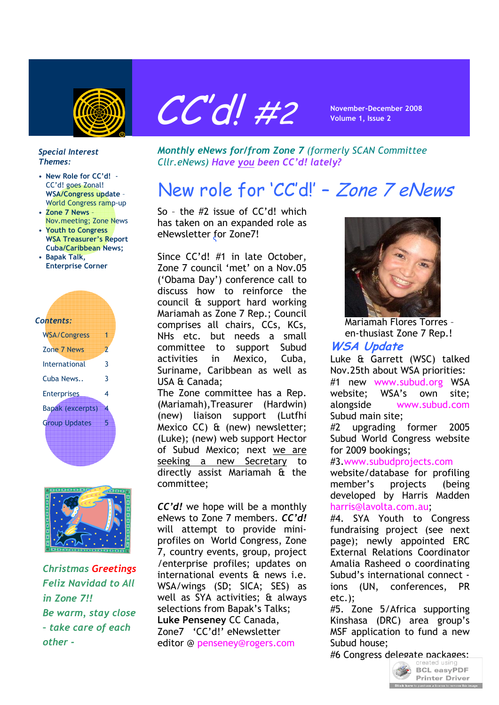



#### *Special Interest Themes:*

- **New Role for CC'd!**  CC'd! goes Zonal! **WSA/Congress update** – World Congress ramp-up
- **Zone 7 News** Nov.meeting; Zone News
- **Youth to Congress WSA Treasurer's Report Cuba/Caribbean News;**
- **Bapak Talk, Enterprise Corner**

| Contents:            |   |
|----------------------|---|
| <b>WSA/Congress</b>  | 1 |
| Zone 7 News          | 2 |
| International        | 3 |
| Cuba News            | 3 |
| <b>Enterprises</b>   | 4 |
| Bapak (excerpts)     | 4 |
| <b>Group Updates</b> | 5 |
|                      |   |



*Christmas Greetings Feliz Navidad to All in Zone 7!! Be warm, stay close – take care of each other -*

*Monthly eNews for/from Zone 7 (formerly SCAN Committee Cllr.eNews) Have you been CC'd! lately?*

# New role for 'CC'd!' – Zone 7 eNews

So – the #2 issue of CC'd! which has taken on an expanded role as eNewsletter for Zone7! S

Since CC'd! #1 in late October, Zone 7 council 'met' on a Nov.05 ('Obama Day') conference call to discuss how to reinforce the council & support hard working Mariamah as Zone 7 Rep.; Council comprises all chairs, CCs, KCs, NHs etc. but needs a small committee to support Subud activities in Mexico, Cuba, Suriname, Caribbean as well as USA & Canada;

The Zone committee has a Rep. (Mariamah),Treasurer (Hardwin) (new) liaison support (Lutfhi Mexico CC) & (new) newsletter; (Luke); (new) web support Hector of Subud Mexico; next we are seeking a new Secretary to directly assist Mariamah & the committee;

*CC'd!* we hope will be a monthly eNews to Zone 7 members. *CC'd!* will attempt to provide miniprofiles on World Congress, Zone 7, country events, group, project /enterprise profiles; updates on international events & news i.e. WSA/wings (SD; SICA; SES) as well as SYA activities; & always selections from Bapak's Talks; **Luke Penseney** CC Canada, Zone7 'CC'd!' eNewsletter editor @ penseney@rogers.com



Mariamah Flores Torres – en-thusiast Zone 7 Rep.!

# **WSA Update**

Luke & Garrett (WSC) talked Nov.25th about WSA priorities: #1 new www.subud.org WSA website; WSA's own site; alongside www.subud.com Subud main site;

#2 upgrading former 2005 Subud World Congress website for 2009 bookings;

#### #3.www.subudprojects.com

website/database for profiling member's projects (being developed by Harris Madden harris@lavolta.com.au;

#4. SYA Youth to Congress fundraising project (see next page); newly appointed ERC External Relations Coordinator Amalia Rasheed o coordinating Subud's international connect ions (UN, conferences, PR etc.);

#5. Zone 5/Africa supporting Kinshasa (DRC) area group's MSF application to fund a new Subud house;

#6 Congress delegate packages:

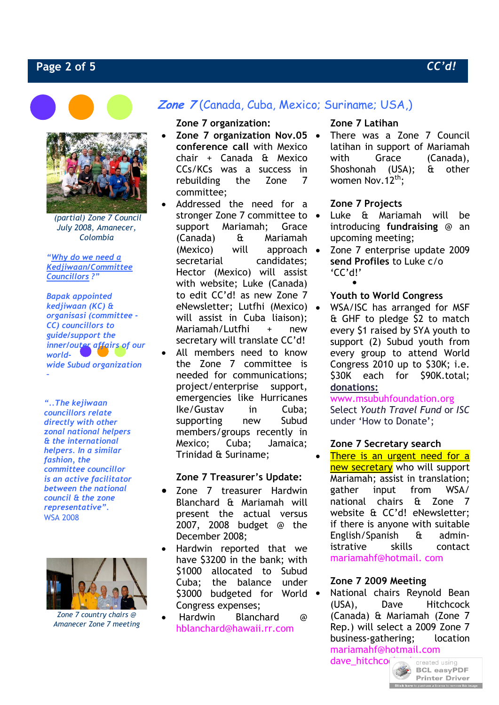### **Page 2 of 5** *CC'd!*





 *(partial) Zone 7 Council July 2008, Amanecer, Colombia*

*"Why do we need a Kedjiwaan/Committee Councillors ?"* 

*Bapak appointed kedjiwaan (KC) & organisasi (committee - CC) councillors to guide/support the inner/outer affairs of our worldwide Subud organization* 

*–*

*"..The kejiwaan councillors relate directly with other zonal national helpers & the international helpers. In a similar fashion, the committee councillor is an active facilitator between the national council & the zone representative".*  WSA 2008



*Zone 7 country chairs @ Amanecer Zone 7 meeting*

# **Zone 7** (Canada, Cuba, Mexico; Suriname; USA,)

#### **Zone 7 organization:**

- **Zone 7 organization Nov.05 conference call** with Mexico chair + Canada & Mexico CCs/KCs was a success in rebuilding the Zone 7 committee;
- Addressed the need for a stronger Zone 7 committee to  $\bullet$ support Mariamah; Grace (Canada) & Mariamah (Mexico) will approach secretarial candidates: Hector (Mexico) will assist with website; Luke (Canada) to edit CC'd! as new Zone 7 eNewsletter; Lutfhi (Mexico) will assist in Cuba liaison); Mariamah/Lutfhi + new secretary will translate CC'd! All members need to know the Zone 7 committee is needed for communications; project/enterprise support, emergencies like Hurricanes Ike/Gustav in Cuba; supporting new Subud members/groups recently in Mexico; Cuba; Jamaica; Trinidad & Suriname;

#### **Zone 7 Treasurer's Update:**

- Zone 7 treasurer Hardwin Blanchard & Mariamah will present the actual versus 2007, 2008 budget @ the December 2008;
- Hardwin reported that we have \$3200 in the bank; with \$1000 allocated to Subud Cuba; the balance under \$3000 budgeted for World . Congress expenses;
- Hardwin Blanchard @ hblanchard@hawaii.rr.com

#### **Zone 7 Latihan**

 There was a Zone 7 Council latihan in support of Mariamah with Grace (Canada). Shoshonah (USA); & other women Nov.  $12^{th}$ :

#### **Zone 7 Projects**

- Luke & Mariamah will be introducing **fundraising** @ an upcoming meeting;
- $\bullet$  Zone 7 enterprise update 2009 **send Profiles** to Luke c/o 'CC'd!'

#### **Youth to World Congress**

 WSA/ISC has arranged for MSF & GHF to pledge \$2 to match every \$1 raised by SYA youth to support (2) Subud youth from every group to attend World Congress 2010 up to \$30K; i.e. \$30K each for \$90K.total; **donations:**

# www.msubuhfoundation.org

Select *Youth Travel Fund* or *ISC*  under 'How to Donate';

#### **Zone 7 Secretary search**

• There is an urgent need for a new secretary who will support Mariamah; assist in translation; gather input from WSA/ national chairs & Zone 7 website & CC'd! eNewsletter; if there is anyone with suitable English/Spanish & administrative skills contact mariamahf@hotmail. com

#### **Zone 7 2009 Meeting**

 National chairs Reynold Bean (USA), Dave Hitchcock (Canada) & Mariamah (Zone 7 Rep.) will select a 2009 Zone 7 business-gathering; location mariamahf@hotmail.com

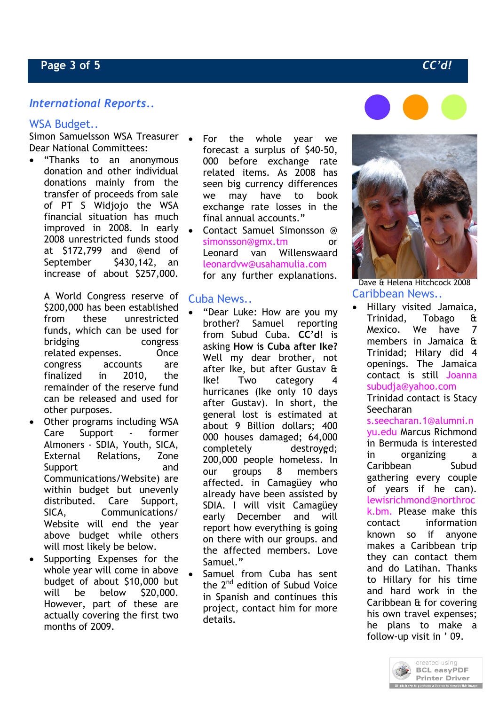# *International Reports..*

#### WSA Budget..

Simon Samuelsson WSA Treasurer Dear National Committees:

 "Thanks to an anonymous donation and other individual donations mainly from the transfer of proceeds from sale of PT S Widjojo the WSA financial situation has much improved in 2008. In early 2008 unrestricted funds stood at \$172,799 and @end of September \$430,142, an increase of about \$257,000.

A World Congress reserve of \$200,000 has been established from these unrestricted funds, which can be used for bridging congress related expenses. Once congress accounts are finalized in 2010, the remainder of the reserve fund can be released and used for other purposes.

- Other programs including WSA Care Support - former Almoners - SDIA, Youth, SICA, External Relations, Zone Support and Communications/Website) are within budget but unevenly distributed. Care Support, SICA, Communications/ Website will end the year above budget while others will most likely be below.
- Supporting Expenses for the whole year will come in above budget of about \$10,000 but will be below \$20,000. However, part of these are actually covering the first two months of 2009.
- For the whole year we forecast a surplus of \$40-50, 000 before exchange rate related items. As 2008 has seen big currency differences we may have to book exchange rate losses in the final annual accounts."
- Contact Samuel Simonsson @ simonsson@gmx.tm or Leonard van Willenswaard leonardvw@usahamulia.com for any further explanations.

#### Cuba News..

 $\blacksquare$ 

- completely<br>200,000 people homeless. In "Dear Luke: How are you my brother? Samuel reporting from Subud Cuba. **CC'd!** is asking **How is Cuba after Ike?** Well my dear brother, not after Ike, but after Gustav & Ike! Two category 4 hurricanes (Ike only 10 days after Gustav). In short, the general lost is estimated at about 9 Billion dollars; 400 000 houses damaged; 64,000 completely destroyed; our groups 8 members affected. in Camagüey who already have been assisted by SDIA. I will visit Camagüey early December and will report how everything is going on there with our groups. and the affected members. Love Samuel."
- Samuel from Cuba has sent the 2<sup>nd</sup> edition of Subud Voice in Spanish and continues this project, contact him for more details.





Dave & Helena Hitchcock 2008 Caribbean News..

 Hillary visited Jamaica, Trinidad, Tobago & Mexico. We have 7 members in Jamaica & Trinidad; Hilary did 4 openings. The Jamaica contact is still Joanna subudja@yahoo.com Trinidad contact is Stacy

Seecharan s.seecharan.1@alumni.n yu.edu Marcus Richmond in Bermuda is interested in organizing a Caribbean Subud gathering every couple of years if he can). lewisrichmond@northroc k.bm. Please make this contact information known so if anyone makes a Caribbean trip they can contact them and do Latihan. Thanks to Hillary for his time and hard work in the Caribbean & for covering his own travel expenses; he plans to make a follow-up visit in ' 09.

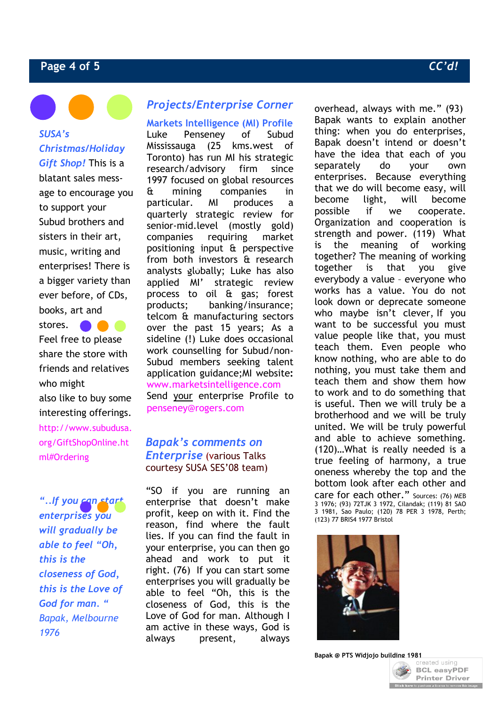# **Page 4 of 5** *CC'd!*

*SUSA's Christmas/Holiday Gift Shop!* This is a blatant sales message to encourage you to support your Subud brothers and sisters in their art, music, writing and enterprises! There is a bigger variety than ever before, of CDs, books, art and

stores. Feel free to please share the store with friends and relatives who might also like to buy some interesting offerings. http://www.subudusa. org/GiftShopOnline.ht ml#Ordering

*"..If you can start enterprises you will gradually be able to feel "Oh, this is the closeness of God, this is the Love of God for man. " Bapak, Melbourne 1976*

# *Projects/Enterprise Corner*

**Markets Intelligence (MI) Profile** Luke Penseney of Subud Mississauga (25 kms.west of Toronto) has run MI his strategic research/advisory firm since 1997 focused on global resources & mining companies in particular. MI produces a quarterly strategic review for senior-mid.level (mostly gold) companies requiring market positioning input & perspective from both investors & research mom Both investors a research applied MI' strategic review process to oil & gas; forest products; banking/insurance; telcom & manufacturing sectors over the past 15 years; As a sideline (!) Luke does occasional work counselling for Subud/non-Subud members seeking talent application guidance;MI website**:** www.marketsintelligence.com Send your enterprise Profile to penseney@rogers.com

## *Bapak's comments on Enterprise* (various Talks courtesy SUSA SES'08 team)

"SO if you are running an enterprise that doesn't make profit, keep on with it. Find the reason, find where the fault lies. If you can find the fault in your enterprise, you can then go ahead and work to put it right. (76) If you can start some enterprises you will gradually be able to feel "Oh, this is the closeness of God, this is the Love of God for man. Although I am active in these ways, God is always present, always

overhead, always with me." (93) Bapak wants to explain another thing: when you do enterprises, Bapak doesn't intend or doesn't have the idea that each of you separately do your own enterprises. Because everything that we do will become easy, will become light, will become possible if we cooperate. Organization and cooperation is strength and power. (119) What is the meaning of working together? The meaning of working together is that you give everybody a value – everyone who works has a value. You do not look down or deprecate someone who maybe isn't clever, If you want to be successful you must value people like that, you must teach them. Even people who know nothing, who are able to do nothing, you must take them and teach them and show them how to work and to do something that is useful. Then we will truly be a brotherhood and we will be truly united. We will be truly powerful and able to achieve something. (120)…What is really needed is a true feeling of harmony, a true oneness whereby the top and the bottom look after each other and care for each other." Sources: (76) MEB 3 1976; (93) 72TJK 3 1972, Cilandak; (119) 81 SAO 3 1981, Sao Paulo; (120) 78 PER 3 1978, Perth; (123) 77 BRIS4 1977 Bristol



**Bapak @ PTS Widjojo bu[ilding 1981](http://www.pdfonline.com/easypdf/?gad=CLjUiqcCEgjbNejkqKEugRjG27j-AyCw_-AP)**